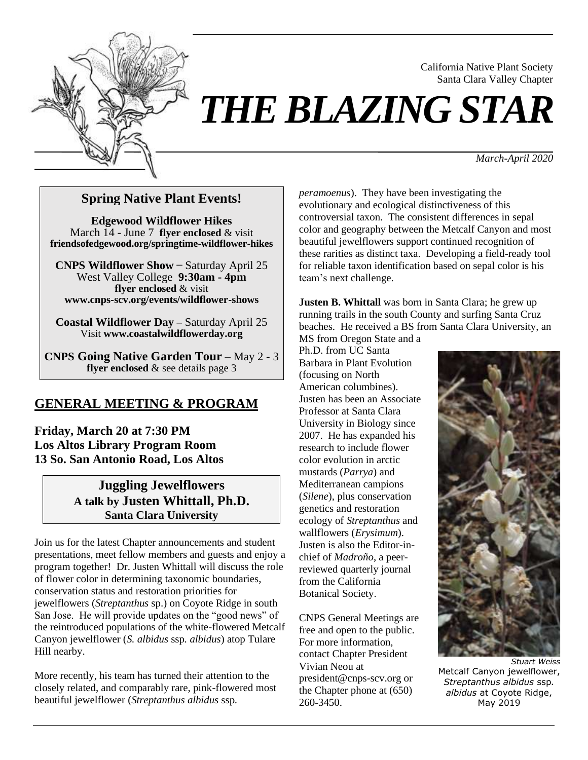

# *THE BLAZING STAR*

*March-April 2020*

California Native Plant Society Santa Clara Valley Chapter

#### **Spring Native Plant Events!**

**Edgewood Wildflower Hikes** March 14 - June 7 **[flyer enclosed](http://cnps-scv.org/images/flyers/edgewood-hikes2020.pdf)** & visit **[friendsofedgewood.org/springtime-wildflower-hikes](http://www.friendsofedgewood.org/springtime-wildflower-walks)**

**CNPS Wildflower Show** ̶ Saturday April 25 West Valley College **9:30am - 4pm flver enclosed** & visit **[www.cnps-scv.org/events/wildflower-shows](http://www.cnps-scv.org/events/wildflower-shows)**

**Coastal Wildflower Day** – Saturday April 25 Visit **[www.coastalwildflowerday.org](http://www.coastalwildflowerday.org/)**

**CNPS Going Native Garden Tour** – May 2 - 3 **[flyer enclosed](http://cnps-scv.org/images/flyers/going-native-garden-tour2020.pdf)** & see details page 3

#### **GENERAL MEETING & PROGRAM**

**Friday, March 20 at 7:30 PM Los Altos Library Program Room 13 So. San Antonio Road, Los Altos**

#### **Juggling Jewelflowers A talk by Justen Whittall, Ph.D. Santa Clara University**

Join us for the latest Chapter announcements and student presentations, meet fellow members and guests and enjoy a program together! Dr. Justen Whittall will discuss the role of flower color in determining taxonomic boundaries, conservation status and restoration priorities for jewelflowers (*Streptanthus* sp.) on Coyote Ridge in south San Jose. He will provide updates on the "good news" of the reintroduced populations of the white-flowered Metcalf Canyon jewelflower (*S. albidus* ssp*. albidus*) atop Tulare Hill nearby.

More recently, his team has turned their attention to the closely related, and comparably rare, pink-flowered most beautiful jewelflower (*Streptanthus albidus* ssp*.* 

*peramoenus*). They have been investigating the evolutionary and ecological distinctiveness of this controversial taxon. The consistent differences in sepal color and geography between the Metcalf Canyon and most beautiful jewelflowers support continued recognition of these rarities as distinct taxa. Developing a field-ready tool for reliable taxon identification based on sepal color is his team's next challenge.

**Justen B. Whittall** was born in Santa Clara; he grew up running trails in the south County and surfing Santa Cruz beaches. He received a BS from Santa Clara University, an

MS from Oregon State and a Ph.D. from UC Santa Barbara in Plant Evolution (focusing on North American columbines). Justen has been an Associate Professor at Santa Clara University in Biology since 2007. He has expanded his research to include flower color evolution in arctic mustards (*Parrya*) and Mediterranean campions (*Silene*), plus conservation genetics and restoration ecology of *Streptanthus* and wallflowers (*Erysimum*). Justen is also the Editor-inchief of *Madroño*, a peerreviewed quarterly journal from the California Botanical Society.

CNPS General Meetings are free and open to the public. For more information, contact Chapter President Vivian Neou at president@cnps-scv.org or the Chapter phone at (650) 260-3450.



*Stuart Weiss* Metcalf Canyon jewelflower, *Streptanthus albidus* ssp*. albidus* at Coyote Ridge, May 2019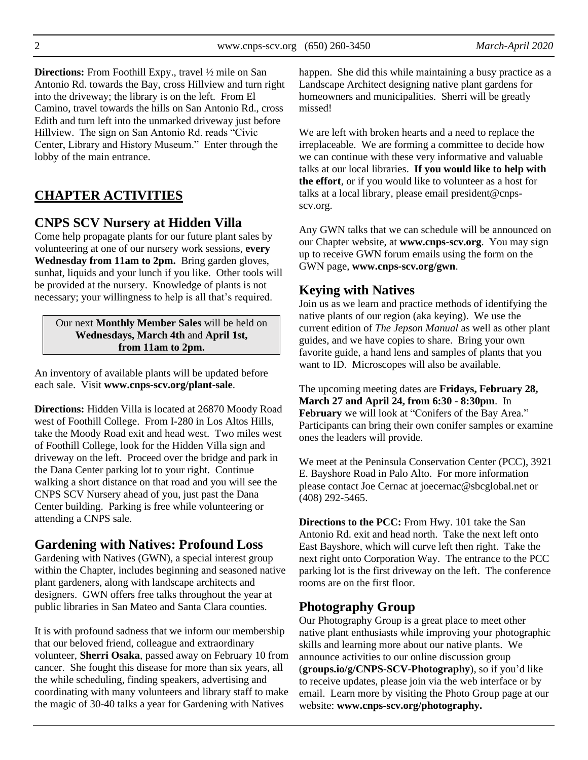**Directions:** From Foothill Expy., travel ½ mile on San Antonio Rd. towards the Bay, cross Hillview and turn right into the driveway; the library is on the left. From El Camino, travel towards the hills on San Antonio Rd., cross Edith and turn left into the unmarked driveway just before Hillview. The sign on San Antonio Rd. reads "Civic Center, Library and History Museum." Enter through the lobby of the main entrance.

# **CHAPTER ACTIVITIES**

# **CNPS SCV Nursery at Hidden Villa**

Come help propagate plants for our future plant sales by volunteering at one of our nursery work sessions, **every Wednesday from 11am to 2pm.** Bring garden gloves, sunhat, liquids and your lunch if you like. Other tools will be provided at the nursery. Knowledge of plants is not necessary; your willingness to help is all that's required.

Our next **Monthly Member Sales** will be held on **Wednesdays, March 4th** and **April 1st, from 11am to 2pm.**

An inventory of available plants will be updated before each sale. Visit **[www.cnps-scv.org/plant-sale](http://cnps-scv.org/plant-sale)**.

**Directions:** Hidden Villa is located at 26870 Moody Road west of Foothill College. From I-280 in Los Altos Hills, take the Moody Road exit and head west. Two miles west of Foothill College, look for the Hidden Villa sign and driveway on the left. Proceed over the bridge and park in the Dana Center parking lot to your right. Continue walking a short distance on that road and you will see the CNPS SCV Nursery ahead of you, just past the Dana Center building. Parking is free while volunteering or attending a CNPS sale.

### **Gardening with Natives: Profound Loss**

Gardening with Natives (GWN), a special interest group within the Chapter, includes beginning and seasoned native plant gardeners, along with landscape architects and designers. GWN offers free talks throughout the year at public libraries in San Mateo and Santa Clara counties.

It is with profound sadness that we inform our membership that our beloved friend, colleague and extraordinary volunteer, **Sherri Osaka**, passed away on February 10 from cancer. She fought this disease for more than six years, all the while scheduling, finding speakers, advertising and coordinating with many volunteers and library staff to make the magic of 30-40 talks a year for Gardening with Natives

happen. She did this while maintaining a busy practice as a Landscape Architect designing native plant gardens for homeowners and municipalities. Sherri will be greatly missed!

We are left with broken hearts and a need to replace the irreplaceable. We are forming a committee to decide how we can continue with these very informative and valuable talks at our local libraries. **If you would like to help with the effort**, or if you would like to volunteer as a host for talks at a local library, please email president@cnpsscv.org.

Any GWN talks that we can schedule will be announced on our Chapter website, at **[www.cnps-scv.org](http://www.cnps-scv.org/)**. You may sign up to receive GWN forum emails using the form on the GWN page, **[www.cnps-scv.org/gwn](http://www.cnps-scv.org/gwn)**.

# **Keying with Natives**

Join us as we learn and practice methods of identifying the native plants of our region (aka keying). We use the current edition of *The Jepson Manual* as well as other plant guides, and we have copies to share. Bring your own favorite guide, a hand lens and samples of plants that you want to ID. Microscopes will also be available.

The upcoming meeting dates are **Fridays, February 28, March 27 and April 24, from 6:30 - 8:30pm**. In **February** we will look at "Conifers of the Bay Area." Participants can bring their own conifer samples or examine ones the leaders will provide.

We meet at the Peninsula Conservation Center (PCC), 3921 E. Bayshore Road in Palo Alto. For more information please contact Joe Cernac at joecernac@sbcglobal.net or (408) 292-5465.

**Directions to the PCC:** From Hwy. 101 take the San Antonio Rd. exit and head north. Take the next left onto East Bayshore, which will curve left then right. Take the next right onto Corporation Way. The entrance to the PCC parking lot is the first driveway on the left. The conference rooms are on the first floor.

### **Photography Group**

Our Photography Group is a great place to meet other native plant enthusiasts while improving your photographic skills and learning more about our native plants. We announce activities to our online discussion group (**[groups.io/g/CNPS-SCV-Photography](https://groups.io/g/CNPS-SCV-Photography)**), so if you'd like to receive updates, please join via the web interface or by email. Learn more by visiting the Photo Group page at our website: **[www.cnps-scv.org/photography.](http://www.cnps-scv.org/photography)**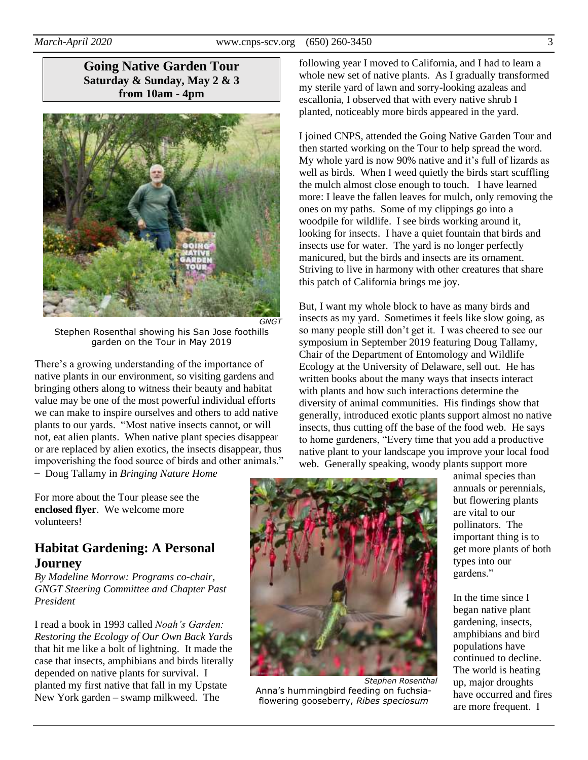**Going Native Garden Tour Saturday & Sunday, May 2 & 3 from 10am - 4pm**



Stephen Rosenthal showing his San Jose foothills garden on the Tour in May 2019

There's a growing understanding of the importance of native plants in our environment, so visiting gardens and bringing others along to witness their beauty and habitat value may be one of the most powerful individual efforts we can make to inspire ourselves and others to add native plants to our yards. "Most native insects cannot, or will not, eat alien plants. When native plant species disappear or are replaced by alien exotics, the insects disappear, thus impoverishing the food source of birds and other animals."

̶ Doug Tallamy in *Bringing Nature Home*

following year I moved to California, and I had to learn a whole new set of native plants. As I gradually transformed my sterile yard of lawn and sorry-looking azaleas and escallonia, I observed that with every native shrub I planted, noticeably more birds appeared in the yard.

I joined CNPS, attended the Going Native Garden Tour and then started working on the Tour to help spread the word. My whole yard is now 90% native and it's full of lizards as well as birds. When I weed quietly the birds start scuffling the mulch almost close enough to touch. I have learned more: I leave the fallen leaves for mulch, only removing the ones on my paths. Some of my clippings go into a woodpile for wildlife. I see birds working around it, looking for insects. I have a quiet fountain that birds and insects use for water. The yard is no longer perfectly manicured, but the birds and insects are its ornament. Striving to live in harmony with other creatures that share this patch of California brings me joy.

But, I want my whole block to have as many birds and insects as my yard. Sometimes it feels like slow going, as so many people still don't get it. I was cheered to see our symposium in September 2019 featuring Doug Tallamy, Chair of the Department of Entomology and Wildlife Ecology at the University of Delaware, sell out. He has written books about the many ways that insects interact with plants and how such interactions determine the diversity of animal communities. His findings show that generally, introduced exotic plants support almost no native insects, thus cutting off the base of the food web. He says to home gardeners, "Every time that you add a productive native plant to your landscape you improve your local food web. Generally speaking, woody plants support more

For more about the Tour please see the **[enclosed](http://cnps-scv.org/index.php/blazing-star-newsletter) flyer**. We welcome more volunteers!

### **Habitat Gardening: A Personal Journey**

*By Madeline Morrow: Programs co-chair, GNGT Steering Committee and Chapter Past President*

I read a book in 1993 called *Noah's Garden: Restoring the Ecology of Our Own Back Yards* that hit me like a bolt of lightning. It made the case that insects, amphibians and birds literally depended on native plants for survival. I planted my first native that fall in my Upstate New York garden – swamp milkweed. The



*Stephen Rosenthal* Anna's hummingbird feeding on fuchsiaflowering gooseberry, *Ribes speciosum*

animal species than annuals or perennials, but flowering plants are vital to our pollinators. The important thing is to get more plants of both types into our gardens."

In the time since I began native plant gardening, insects, amphibians and bird populations have continued to decline. The world is heating up, major droughts have occurred and fires are more frequent. I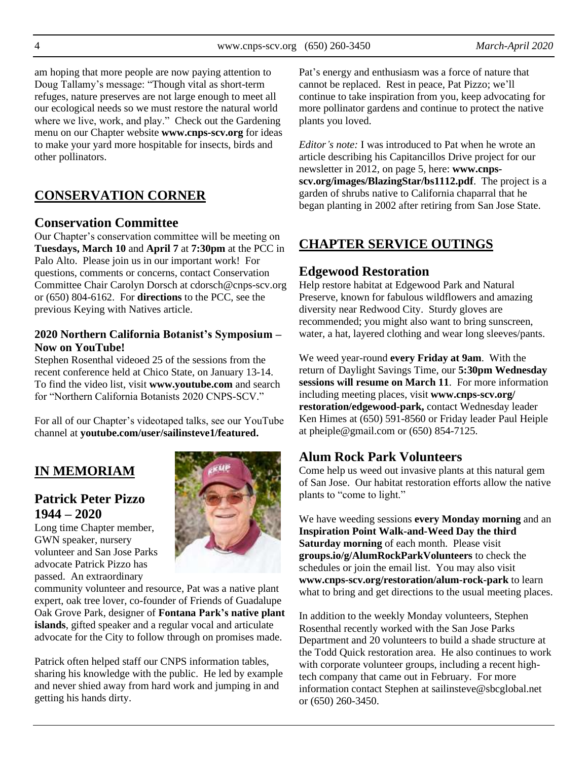4 www.cnps-scv.org (650) 260-3450 *March-April 2020*

am hoping that more people are now paying attention to Doug Tallamy's message: "Though vital as short-term refuges, nature preserves are not large enough to meet all our ecological needs so we must restore the natural world where we live, work, and play." Check out the Gardening menu on our Chapter website **[www.cnps-scv.org](http://www.cnps-scv.org/)** for ideas to make your yard more hospitable for insects, birds and other pollinators.

# **CONSERVATION CORNER**

#### **Conservation Committee**

Our Chapter's conservation committee will be meeting on **Tuesdays, March 10** and **April 7** at **7:30pm** at the PCC in Palo Alto. Please join us in our important work! For questions, comments or concerns, contact Conservation Committee Chair Carolyn Dorsch at cdorsch@cnps-scv.org or (650) 804-6162. For **directions** to the PCC, see the previous Keying with Natives article.

#### **2020 Northern California Botanist's Symposium – Now on YouTube!**

Stephen Rosenthal videoed 25 of the sessions from the recent conference held at Chico State, on January 13-14. To find the video list, visit **[www.youtube.com](https://www.youtube.com/playlist?list=PLyHJjt9y0tE03i41ppFZFvxEo9wOvDpZ2)** and search for "Northern California Botanists 2020 CNPS-SCV."

For all of our Chapter's videotaped talks, see our YouTube channel at **[youtube.com/user/sailinsteve1/featured.](https://www.youtube.com/user/sailinsteve1/featured)**

# **IN MEMORIAM**

# **Patrick Peter Pizzo 1944 – 2020**

Long time Chapter member, GWN speaker, nursery volunteer and San Jose Parks advocate Patrick Pizzo has passed. An extraordinary



community volunteer and resource, Pat was a native plant expert, oak tree lover, co-founder of Friends of Guadalupe Oak Grove Park, designer of **Fontana Park's [native plant](http://cnps-scv.org/gardening/339-native-plantings-in-jeffrey-fontana-park)  [islands](http://cnps-scv.org/gardening/339-native-plantings-in-jeffrey-fontana-park)**, gifted speaker and a regular vocal and articulate advocate for the City to follow through on promises made.

Patrick often helped staff our CNPS information tables, sharing his knowledge with the public. He led by example and never shied away from hard work and jumping in and getting his hands dirty.

Pat's energy and enthusiasm was a force of nature that cannot be replaced. Rest in peace, Pat Pizzo; we'll continue to take inspiration from you, keep advocating for more pollinator gardens and continue to protect the native plants you loved.

*Editor's note:* I was introduced to Pat when he wrote an article describing his Capitancillos Drive project for our newsletter in 2012, on page 5, here: **[www.cnps](http://cnps-scv.org/images/BlazingStar/bs1112.pdf)[scv.org/images/BlazingStar/bs1112.pdf](http://cnps-scv.org/images/BlazingStar/bs1112.pdf)**. The project is a garden of shrubs native to California chaparral that he began planting in 2002 after retiring from San Jose State.

# **CHAPTER SERVICE OUTINGS**

#### **Edgewood Restoration**

Help restore habitat at Edgewood Park and Natural Preserve, known for fabulous wildflowers and amazing diversity near Redwood City. Sturdy gloves are recommended; you might also want to bring sunscreen, water, a hat, layered clothing and wear long sleeves/pants.

We weed year-round **every Friday at 9am**. With the return of Daylight Savings Time, our **5:30pm Wednesday sessions will resume on March 11**. For more information including meeting places, visit **[www.cnps-scv.org/](http://www.cnps-scv.org/restoration/edgewood-park) [restoration/edgewood-park,](http://www.cnps-scv.org/restoration/edgewood-park)** contact Wednesday leader Ken Himes at (650) 591-8560 or Friday leader Paul Heiple at pheiple@gmail.com or (650) 854-7125.

#### **Alum Rock Park Volunteers**

Come help us weed out invasive plants at this natural gem of San Jose. Our habitat restoration efforts allow the native plants to "come to light."

We have weeding sessions **every Monday morning** and an **Inspiration Point Walk-and-Weed Day the third Saturday morning** of each month. Please visit **[groups.io/g/AlumRockParkVolunteers](https://groups.io/g/AlumRockParkVolunteers)** to check the schedules or join the email list. You may also visit **[www.cnps-scv.org/restoration/alum-rock-park](http://www.cnps-scv.org/restoration/alum-rock-park)** to learn what to bring and get directions to the usual meeting places.

In addition to the weekly Monday volunteers, Stephen Rosenthal recently worked with the San Jose Parks Department and 20 volunteers to build a shade structure at the Todd Quick restoration area. He also continues to work with corporate volunteer groups, including a recent hightech company that came out in February. For more information contact Stephen at sailinsteve@sbcglobal.net or (650) 260-3450.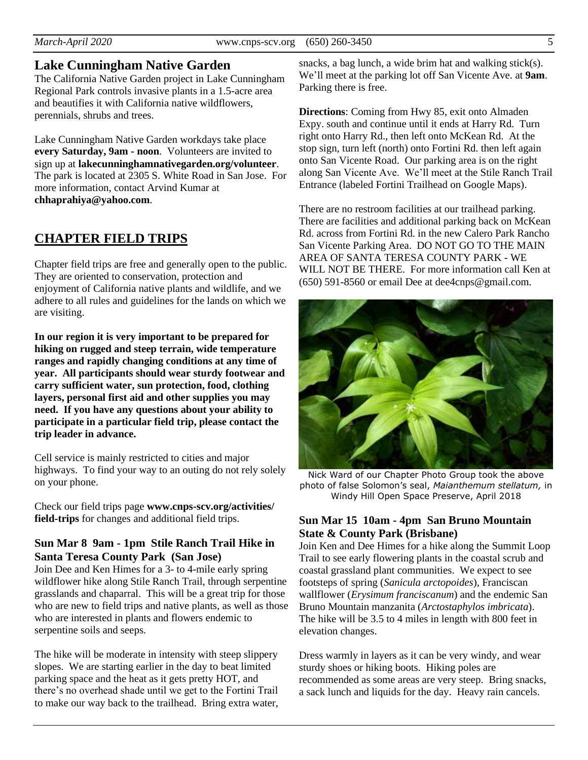#### **Lake Cunningham Native Garden**

The California Native Garden project in Lake Cunningham Regional Park controls invasive plants in a 1.5-acre area and beautifies it with California native wildflowers, perennials, shrubs and trees.

Lake Cunningham Native Garden workdays take place **every Saturday, 9am - noon**. Volunteers are invited to sign up at **[lakecunninghamnativegarden.org/volunteer](http://lakecunninghamnativegarden.org/volunteer)**. The park is located at 2305 S. White Road in San Jose. For more information, contact Arvind Kumar at **[chhaprahiya@yahoo.com](mailto:chhaprahiya@yahoo.com)**.

#### **CHAPTER FIELD TRIPS**

Chapter field trips are free and generally open to the public. They are oriented to conservation, protection and enjoyment of California native plants and wildlife, and we adhere to all rules and guidelines for the lands on which we are visiting.

**In our region it is very important to be prepared for hiking on rugged and steep terrain, wide temperature ranges and rapidly changing conditions at any time of year. All participants should wear sturdy footwear and carry sufficient water, sun protection, food, clothing layers, personal first aid and other supplies you may need. If you have any questions about your ability to participate in a particular field trip, please contact the trip leader in advance.**

Cell service is mainly restricted to cities and major highways. To find your way to an outing do not rely solely on your phone.

Check our field trips page **[www.cnps-scv.org/activities/](http://www.cnps-scv.org/activities/field-trips/) [field-trips](http://www.cnps-scv.org/activities/field-trips/)** for changes and additional field trips.

#### **Sun Mar 8 9am - 1pm Stile Ranch Trail Hike in Santa Teresa County Park (San Jose)**

Join Dee and Ken Himes for a 3- to 4-mile early spring wildflower hike along Stile Ranch Trail, through serpentine grasslands and chaparral. This will be a great trip for those who are new to field trips and native plants, as well as those who are interested in plants and flowers endemic to serpentine soils and seeps.

The hike will be moderate in intensity with steep slippery slopes. We are starting earlier in the day to beat limited parking space and the heat as it gets pretty HOT, and there's no overhead shade until we get to the Fortini Trail to make our way back to the trailhead. Bring extra water, snacks, a bag lunch, a wide brim hat and walking stick(s). We'll meet at the parking lot off San Vicente Ave. at **9am**. Parking there is free.

**Directions**: Coming from Hwy 85, exit onto Almaden Expy. south and continue until it ends at Harry Rd. Turn right onto Harry Rd., then left onto McKean Rd. At the stop sign, turn left (north) onto Fortini Rd. then left again onto San Vicente Road. Our parking area is on the right along San Vicente Ave. We'll meet at the [Stile Ranch Trail](https://www.google.com/maps/place/Stile+Ranch+Trailhead,+San+Vicente+Ave,+San+Jose,+CA+95120/@37.2033071,-121.8081597,17z/data=!3m1!4b1!4m5!3m4!1s0x808e2fe39cf0ea07:0xf33010990ce003d!8m2!3d37.2032995!4d-121.8059469)  [Entrance](https://www.google.com/maps/place/Stile+Ranch+Trailhead,+San+Vicente+Ave,+San+Jose,+CA+95120/@37.2033071,-121.8081597,17z/data=!3m1!4b1!4m5!3m4!1s0x808e2fe39cf0ea07:0xf33010990ce003d!8m2!3d37.2032995!4d-121.8059469) (labeled Fortini Trailhead on Google Maps).

There are no restroom facilities at our trailhead parking. There are facilities and additional parking back on McKean Rd. across from Fortini Rd. in the new Calero Park Rancho San Vicente Parking Area. DO NOT GO TO THE MAIN AREA OF SANTA TERESA COUNTY PARK - WE WILL NOT BE THERE. For more information call Ken at (650) 591-8560 or email Dee at dee4cnps@gmail.com.



Nick Ward of our Chapter Photo Group took the above photo of false Solomon's seal, *Maianthemum stellatum,* in Windy Hill Open Space Preserve, April 2018

#### **Sun Mar 15 10am - 4pm San Bruno Mountain State & County Park (Brisbane)**

Join Ken and Dee Himes for a hike along the Summit Loop Trail to see early flowering plants in the coastal scrub and coastal grassland plant communities. We expect to see footsteps of spring (*Sanicula arctopoides*), Franciscan wallflower (*Erysimum franciscanum*) and the endemic San Bruno Mountain manzanita (*Arctostaphylos imbricata*). The hike will be 3.5 to 4 miles in length with 800 feet in elevation changes.

Dress warmly in layers as it can be very windy, and wear sturdy shoes or hiking boots. Hiking poles are recommended as some areas are very steep. Bring snacks, a sack lunch and liquids for the day. Heavy rain cancels.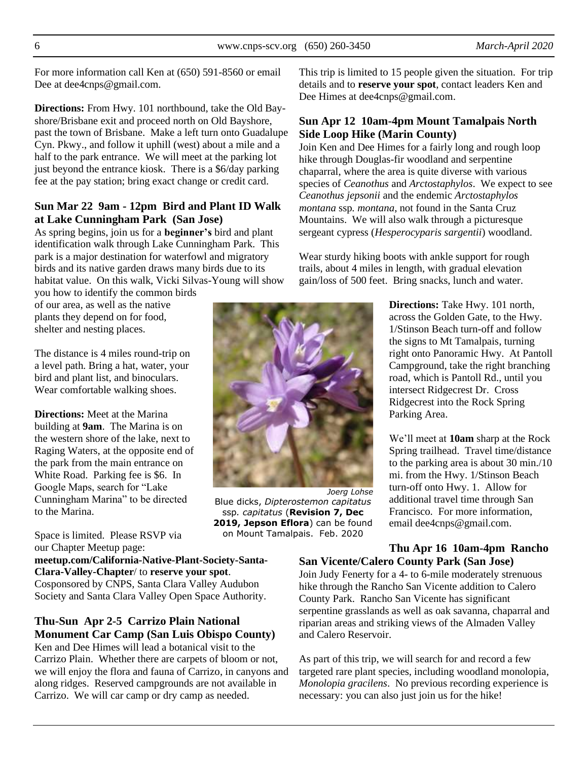6 www.cnps-scv.org (650) 260-3450 *March-April 2020*

For more information call Ken at (650) 591-8560 or email Dee at dee4cnps@gmail.com.

**Directions:** From Hwy. 101 northbound, take the Old Bayshore/Brisbane exit and proceed north on Old Bayshore, past the town of Brisbane. Make a left turn onto Guadalupe Cyn. Pkwy., and follow it uphill (west) about a mile and a half to the [park entrance.](https://www.google.com/maps/place/San+Bruno+Mountain+State+%26+County+Park/@37.6968729,-122.4350344,377m/data=!3m1!1e3!4m5!3m4!1s0x808f793845e4eebd:0xca4225f59f66fdd8!8m2!3d37.6968729!4d-122.4339347) We will meet at the parking lot just beyond the entrance kiosk. There is a \$6/day parking fee at the pay station; bring exact change or credit card.

#### **Sun Mar 22 9am - 12pm Bird and Plant ID Walk at Lake Cunningham Park (San Jose)**

As spring begins, join us for a **beginner's** bird and plant identification walk through Lake Cunningham Park. This park is a major destination for waterfowl and migratory birds and its native garden draws many birds due to its habitat value. On this walk, Vicki Silvas-Young will show

you how to identify the common birds of our area, as well as the native plants they depend on for food, shelter and nesting places.

The distance is 4 miles round-trip on a level path. Bring a hat, water, your bird and plant list, and binoculars. Wear comfortable walking shoes.

**Directions:** Meet at the Marina building at **9am**. The Marina is on the western shore of the lake, next to Raging Waters, at the opposite end of the park from the main entrance on White Road. Parking fee is \$6. In Google Maps, search for "Lake Cunningham Marina" to be directed to the Marina.

Space is limited. Please RSVP via our Chapter Meetup page:

**[meetup.com/California-Native-Plant-Society-Santa-](https://meetup.com/California-Native-Plant-Society-Santa-Clara-Valley-Chapter/)[Clara-Valley-Chapter](https://meetup.com/California-Native-Plant-Society-Santa-Clara-Valley-Chapter/)**/ to **reserve your spot**. Cosponsored by CNPS, Santa Clara Valley Audubon Society and Santa Clara Valley Open Space Authority.

#### **Thu-Sun Apr 2-5 Carrizo Plain National Monument Car Camp (San Luis Obispo County)**

Ken and Dee Himes will lead a botanical visit to the Carrizo Plain. Whether there are carpets of bloom or not, we will enjoy the flora and fauna of Carrizo, in canyons and along ridges. Reserved campgrounds are not available in Carrizo. We will car camp or dry camp as needed.

This trip is limited to 15 people given the situation. For trip details and to **reserve your spot**, contact leaders Ken and Dee Himes at dee4cnps@gmail.com.

#### **Sun Apr 12 10am-4pm Mount Tamalpais North Side Loop Hike (Marin County)**

Join Ken and Dee Himes for a fairly long and rough loop hike through Douglas-fir woodland and serpentine chaparral, where the area is quite diverse with various species of *Ceanothus* and *Arctostaphylos*. We expect to see *Ceanothus jepsonii* and the endemic *Arctostaphylos montana* ssp*. montana*, not found in the Santa Cruz Mountains. We will also walk through a picturesque sergeant cypress (*Hesperocyparis sargentii*) woodland.

Wear sturdy hiking boots with ankle support for rough trails, about 4 miles in length, with gradual elevation gain/loss of 500 feet. Bring snacks, lunch and water.

> **Directions:** Take Hwy. 101 north, across the Golden Gate, to the Hwy. 1/Stinson Beach turn-off and follow the signs to Mt Tamalpais, turning right onto Panoramic Hwy. At Pantoll Campground, take the right branching road, which is Pantoll Rd., until you intersect Ridgecrest Dr. Cross Ridgecrest into the [Rock Spring](https://www.google.com/maps/place/Rock+Spring+Trailhead/@37.910698,-122.6148621,17z/data=!3m1!4b1!4m5!3m4!1s0x80859171bbdb688b:0x5672a7f0e8440151!8m2!3d37.910698!4d-122.6126681)  [Parking Area.](https://www.google.com/maps/place/Rock+Spring+Trailhead/@37.910698,-122.6148621,17z/data=!3m1!4b1!4m5!3m4!1s0x80859171bbdb688b:0x5672a7f0e8440151!8m2!3d37.910698!4d-122.6126681)

> We'll meet at **10am** sharp at the Rock Spring trailhead. Travel time/distance to the parking area is about 30 min./10 mi. from the Hwy. 1/Stinson Beach turn-off onto Hwy. 1. Allow for additional travel time through San Francisco. For more information, email dee4cnps@gmail.com.

**Thu Apr 16 10am-4pm Rancho San Vicente/Calero County Park (San Jose)**

Join Judy Fenerty for a 4- to 6-mile moderately strenuous hike through the Rancho San Vicente addition to Calero County Park. Rancho San Vicente has significant serpentine grasslands as well as oak savanna, chaparral and riparian areas and striking views of the Almaden Valley and Calero Reservoir.

As part of this trip, we will search for and record a few targeted rare plant species, including woodland monolopia, *Monolopia gracilens*. No previous recording experience is necessary: you can also just join us for the hike!

# *Joerg Lohse* Blue dicks, *Dipterostemon capitatus*  ssp*. capitatus* (**[Revision 7, Dec](https://ucjeps.berkeley.ecu/eflora/supplement_summary.html#rev7)  [2019, Jepson Eflora](https://ucjeps.berkeley.ecu/eflora/supplement_summary.html#rev7)**) can be found on Mount Tamalpais. Feb. 2020

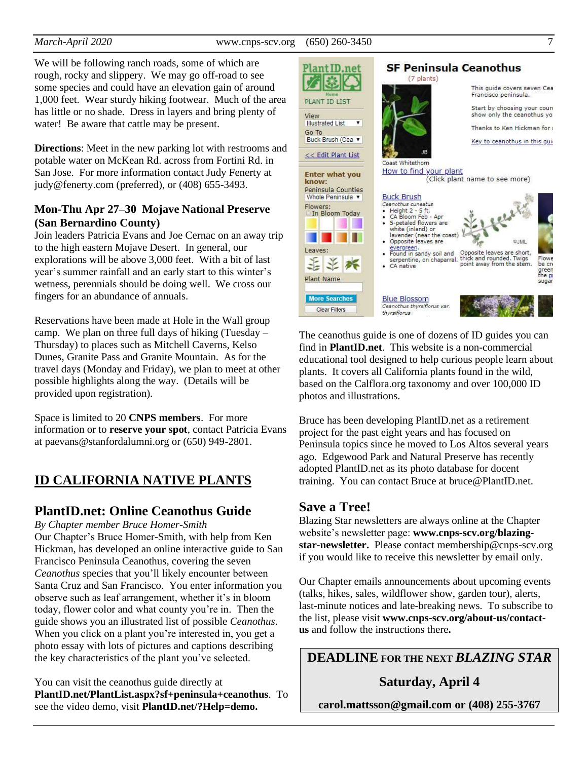We will be following ranch roads, some of which are rough, rocky and slippery. We may go off-road to see some species and could have an elevation gain of around 1,000 feet. Wear sturdy hiking footwear. Much of the area has little or no shade. Dress in layers and bring plenty of water! Be aware that cattle may be present.

**Directions**: Meet in the new parking lot with restrooms and potable water on McKean Rd. across from Fortini Rd. in San Jose. For more information contact Judy Fenerty at judy@fenerty.com (preferred), or (408) 655-3493.

#### **Mon-Thu Apr 27–30 Mojave National Preserve (San Bernardino County)**

Join leaders Patricia Evans and Joe Cernac on an away trip to the high eastern Mojave Desert. In general, our explorations will be above 3,000 feet. With a bit of last year's summer rainfall and an early start to this winter's wetness, perennials should be doing well. We cross our fingers for an abundance of annuals.

Reservations have been made at Hole in the Wall group camp. We plan on three full days of hiking (Tuesday – Thursday) to places such as Mitchell Caverns, Kelso Dunes, Granite Pass and Granite Mountain. As for the travel days (Monday and Friday), we plan to meet at other possible highlights along the way. (Details will be provided upon registration).

Space is limited to 20 **CNPS members**. For more information or to **reserve your spot**, contact Patricia Evans at paevans@stanfordalumni.org or (650) 949-2801.

# **ID CALIFORNIA NATIVE PLANTS**

### **PlantID.net: Online Ceanothus Guide**

*By Chapter member Bruce Homer-Smith*

Our Chapter's Bruce Homer-Smith, with help from Ken Hickman, has developed an online interactive guide to San Francisco Peninsula Ceanothus, covering the seven *Ceanothus* species that you'll likely encounter between Santa Cruz and San Francisco. You enter information you observe such as leaf arrangement, whether it's in bloom today, flower color and what county you're in. Then the guide shows you an illustrated list of possible *Ceanothus*. When you click on a plant you're interested in, you get a photo essay with lots of pictures and captions describing the key characteristics of the plant you've selected.

You can visit the ceanothus guide directly at **[PlantID.net/PlantList.aspx?sf+peninsula+ceanothus](https://plantid.net/PlantList.aspx?sf+peninsula+ceanothus)**. To see the video demo, visit **[PlantID.net/?Help=demo.](https://plantid.net/?Help=demo)**



The ceanothus guide is one of dozens of ID guides you can find in **[PlantID.net](https://plantid.net/)**. This website is a non-commercial educational tool designed to help curious people learn about plants. It covers all California plants found in the wild, based on the Calflora.org taxonomy and over 100,000 ID photos and illustrations.

Bruce has been developing PlantID.net as a retirement project for the past eight years and has focused on Peninsula topics since he moved to Los Altos several years ago. Edgewood Park and Natural Preserve has recently adopted PlantID.net as its photo database for docent training. You can contact Bruce at bruce@PlantID.net.

#### **Save a Tree!**

Blazing Star newsletters are always online at the Chapter website's newsletter page: **[www.cnps-scv.org/blazing](http://www.cnps-scv.org/index.php/blazing-star-newsletter)[star-newsletter.](http://www.cnps-scv.org/index.php/blazing-star-newsletter)** Please contact membership@cnps-scv.org if you would like to receive this newsletter by email only.

Our Chapter emails announcements about upcoming events (talks, hikes, sales, wildflower show, garden tour), alerts, last-minute notices and late-breaking news. To subscribe to the list, please visit **[www.cnps-scv.org/about-us/contact](http://www.cnps-scv.org/about-us/contact-us)[us](http://www.cnps-scv.org/about-us/contact-us)** and follow the instructions there**.**

**DEADLINE FOR THE NEXT** *BLAZING STAR*

**Saturday, April 4**

**carol.mattsson@gmail.com or (408) 255-3767**